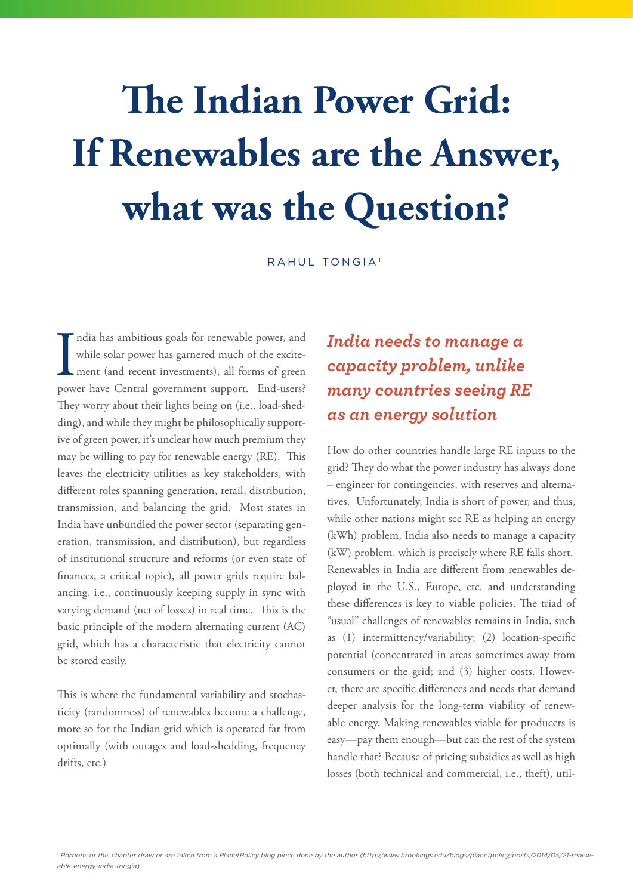# **The Indian Power Grid: If Renewables are the Answer, what was the Question?**

RAHUL TONGIA<sup>1</sup>

India has ambitious goals for renewable power, and while solar power has garnered much of the excitement (and recent investments), all forms of green power have Central government support. End-users? ndia has ambitious goals for renewable power, and while solar power has garnered much of the excitement (and recent investments), all forms of green They worry about their lights being on (i.e., load-shedding), and while they might be philosophically supportive of green power, it's unclear how much premium they may be willing to pay for renewable energy (RE). This leaves the electricity utilities as key stakeholders, with different roles spanning generation, retail, distribution, transmission, and balancing the grid. Most states in India have unbundled the power sector (separating generation, transmission, and distribution), but regardless of institutional structure and reforms (or even state of finances, a critical topic), all power grids require balancing, i.e., continuously keeping supply in sync with varying demand (net of losses) in real time. This is the basic principle of the modern alternating current (AC) grid, which has a characteristic that electricity cannot be stored easily.

This is where the fundamental variability and stochasticity (randomness) of renewables become a challenge, more so for the Indian grid which is operated far from optimally (with outages and load-shedding, frequency drifts, etc.)

# *India needs to manage a capacity problem, unlike many countries seeing RE as an energy solution*

How do other countries handle large RE inputs to the grid? They do what the power industry has always done – engineer for contingencies, with reserves and alternatives. Unfortunately, India is short of power, and thus, while other nations might see RE as helping an energy (kWh) problem, India also needs to manage a capacity (kW) problem, which is precisely where RE falls short. Renewables in India are different from renewables deployed in the U.S., Europe, etc. and understanding these differences is key to viable policies. The triad of "usual" challenges of renewables remains in India, such as (1) intermittency/variability; (2) location-specific potential (concentrated in areas sometimes away from consumers or the grid; and (3) higher costs. However, there are specific differences and needs that demand deeper analysis for the long-term viability of renewable energy. Making renewables viable for producers is easy—pay them enough—but can the rest of the system handle that? Because of pricing subsidies as well as high losses (both technical and commercial, i.e., theft), util-

*<sup>1</sup> Portions of this chapter draw or are taken from a PlanetPolicy blog piece done by the author (http://www.brookings.edu/blogs/planetpolicy/posts/2014/05/21-renewable-energy-india-tongia).*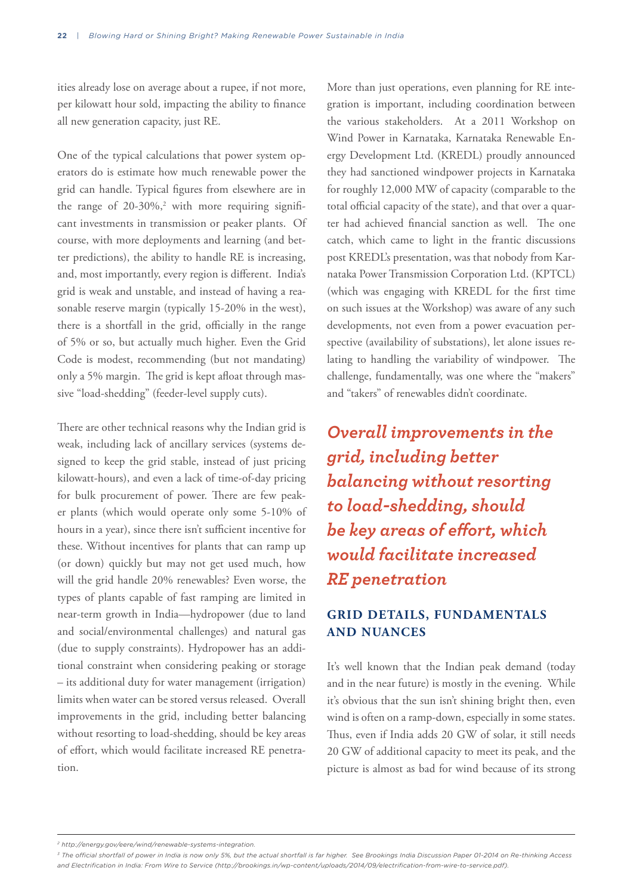ities already lose on average about a rupee, if not more, per kilowatt hour sold, impacting the ability to finance all new generation capacity, just RE.

One of the typical calculations that power system operators do is estimate how much renewable power the grid can handle. Typical figures from elsewhere are in the range of  $20-30\%,^2$  with more requiring significant investments in transmission or peaker plants. Of course, with more deployments and learning (and better predictions), the ability to handle RE is increasing, and, most importantly, every region is different. India's grid is weak and unstable, and instead of having a reasonable reserve margin (typically 15-20% in the west), there is a shortfall in the grid, officially in the range of 5% or so, but actually much higher. Even the Grid Code is modest, recommending (but not mandating) only a 5% margin. The grid is kept afloat through massive "load-shedding" (feeder-level supply cuts).

There are other technical reasons why the Indian grid is weak, including lack of ancillary services (systems designed to keep the grid stable, instead of just pricing kilowatt-hours), and even a lack of time-of-day pricing for bulk procurement of power. There are few peaker plants (which would operate only some 5-10% of hours in a year), since there isn't sufficient incentive for these. Without incentives for plants that can ramp up (or down) quickly but may not get used much, how will the grid handle 20% renewables? Even worse, the types of plants capable of fast ramping are limited in near-term growth in India—hydropower (due to land and social/environmental challenges) and natural gas (due to supply constraints). Hydropower has an additional constraint when considering peaking or storage – its additional duty for water management (irrigation) limits when water can be stored versus released. Overall improvements in the grid, including better balancing without resorting to load-shedding, should be key areas of effort, which would facilitate increased RE penetration.

More than just operations, even planning for RE integration is important, including coordination between the various stakeholders. At a 2011 Workshop on Wind Power in Karnataka, Karnataka Renewable Energy Development Ltd. (KREDL) proudly announced they had sanctioned windpower projects in Karnataka for roughly 12,000 MW of capacity (comparable to the total official capacity of the state), and that over a quarter had achieved financial sanction as well. The one catch, which came to light in the frantic discussions post KREDL's presentation, was that nobody from Karnataka Power Transmission Corporation Ltd. (KPTCL) (which was engaging with KREDL for the first time on such issues at the Workshop) was aware of any such developments, not even from a power evacuation perspective (availability of substations), let alone issues relating to handling the variability of windpower. The challenge, fundamentally, was one where the "makers" and "takers" of renewables didn't coordinate.

*Overall improvements in the grid, including better balancing without resorting to load-shedding, should be key areas of effort, which would facilitate increased RE penetration*

## **GRID DETAILS, FUNDAMENTALS AND NUANCES**

It's well known that the Indian peak demand (today and in the near future) is mostly in the evening. While it's obvious that the sun isn't shining bright then, even wind is often on a ramp-down, especially in some states. Thus, even if India adds 20 GW of solar, it still needs 20 GW of additional capacity to meet its peak, and the picture is almost as bad for wind because of its strong

*<sup>2</sup> http://energy.gov/eere/wind/renewable-systems-integration.*

<sup>&</sup>lt;sup>3</sup> The official shortfall of power in India is now only 5%, but the actual shortfall is far higher. See Brookings India Discussion Paper 01-2014 on Re-thinking Access *and Electrification in India: From Wire to Service (http://brookings.in/wp-content/uploads/2014/09/electrification-from-wire-to-service.pdf).*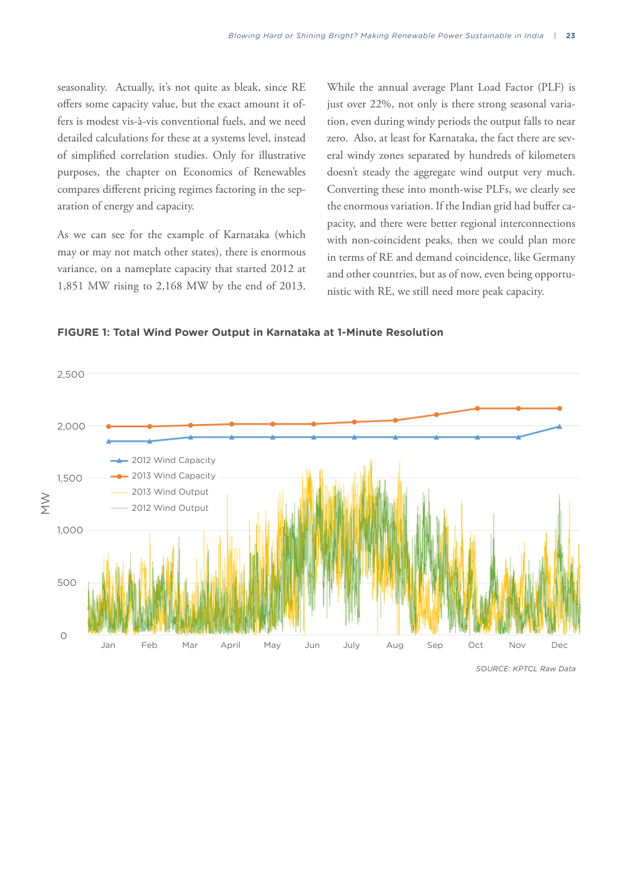seasonality. Actually, it's not quite as bleak, since RE offers some capacity value, but the exact amount it offers is modest vis-à-vis conventional fuels, and we need detailed calculations for these at a systems level, instead of simplified correlation studies. Only for illustrative purposes, the chapter on Economics of Renewables compares different pricing regimes factoring in the separation of energy and capacity.

As we can see for the example of Karnataka (which may or may not match other states), there is enormous variance, on a nameplate capacity that started 2012 at 1,851 MW rising to 2,168 MW by the end of 2013.

While the annual average Plant Load Factor (PLF) is just over 22%, not only is there strong seasonal variation, even during windy periods the output falls to near zero. Also, at least for Karnataka, the fact there are several windy zones separated by hundreds of kilometers doesn't steady the aggregate wind output very much. Converting these into month-wise PLFs, we clearly see the enormous variation. If the Indian grid had buffer capacity, and there were better regional interconnections with non-coincident peaks, then we could plan more in terms of RE and demand coincidence, like Germany and other countries, but as of now, even being opportunistic with RE, we still need more peak capacity.

**FIGURE 1: Total Wind Power Output in Karnataka at 1-Minute Resolution**



*SOURCE: KPTCL Raw Data*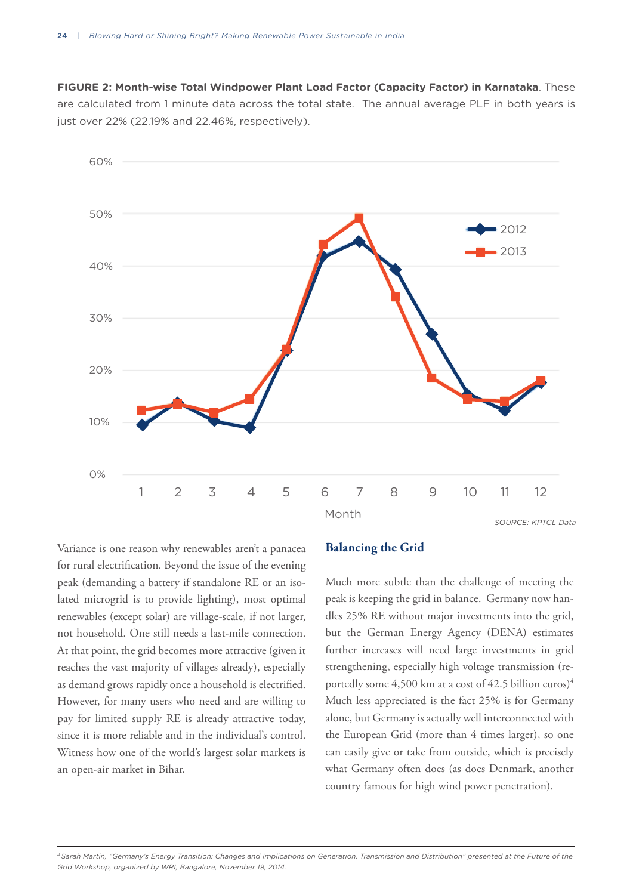**FIGURE 2: Month-wise Total Windpower Plant Load Factor (Capacity Factor) in Karnataka**. These are calculated from 1 minute data across the total state. The annual average PLF in both years is just over 22% (22.19% and 22.46%, respectively).



Variance is one reason why renewables aren't a panacea for rural electrification. Beyond the issue of the evening peak (demanding a battery if standalone RE or an isolated microgrid is to provide lighting), most optimal renewables (except solar) are village-scale, if not larger, not household. One still needs a last-mile connection. At that point, the grid becomes more attractive (given it reaches the vast majority of villages already), especially as demand grows rapidly once a household is electrified. However, for many users who need and are willing to pay for limited supply RE is already attractive today, since it is more reliable and in the individual's control. Witness how one of the world's largest solar markets is an open-air market in Bihar.

#### **Balancing the Grid**

Much more subtle than the challenge of meeting the peak is keeping the grid in balance. Germany now handles 25% RE without major investments into the grid, but the German Energy Agency (DENA) estimates further increases will need large investments in grid strengthening, especially high voltage transmission (reportedly some  $4,500$  km at a cost of  $42.5$  billion euros)<sup>4</sup> Much less appreciated is the fact 25% is for Germany alone, but Germany is actually well interconnected with the European Grid (more than 4 times larger), so one can easily give or take from outside, which is precisely what Germany often does (as does Denmark, another country famous for high wind power penetration).

*4 Sarah Martin, "Germany's Energy Transition: Changes and Implications on Generation, Transmission and Distribution" presented at the Future of the Grid Workshop, organized by WRI, Bangalore, November 19, 2014.*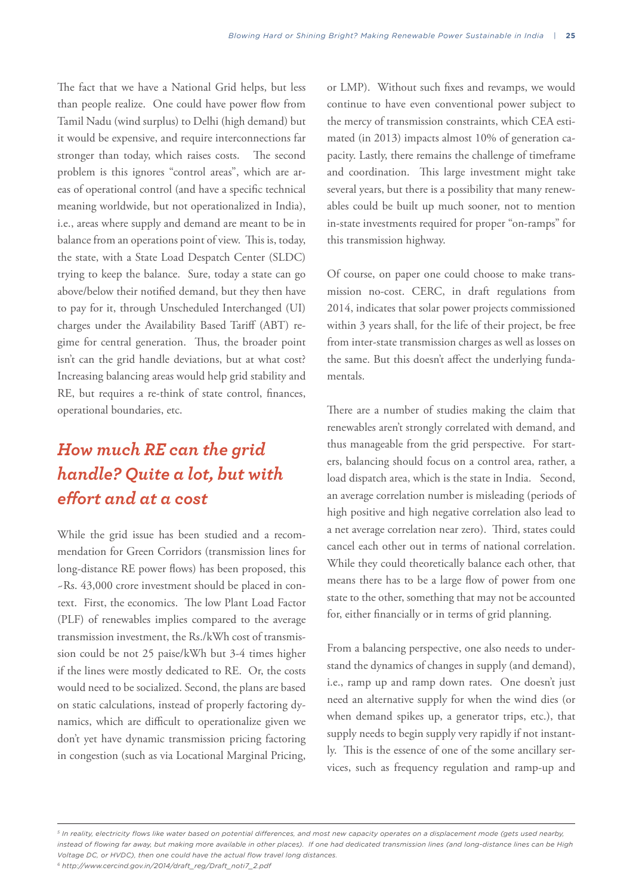The fact that we have a National Grid helps, but less than people realize. One could have power flow from Tamil Nadu (wind surplus) to Delhi (high demand) but it would be expensive, and require interconnections far stronger than today, which raises costs. The second problem is this ignores "control areas", which are areas of operational control (and have a specific technical meaning worldwide, but not operationalized in India), i.e., areas where supply and demand are meant to be in balance from an operations point of view. This is, today, the state, with a State Load Despatch Center (SLDC) trying to keep the balance. Sure, today a state can go above/below their notified demand, but they then have to pay for it, through Unscheduled Interchanged (UI) charges under the Availability Based Tariff (ABT) regime for central generation. Thus, the broader point isn't can the grid handle deviations, but at what cost? Increasing balancing areas would help grid stability and RE, but requires a re-think of state control, finances, operational boundaries, etc.

# *How much RE can the grid handle? Quite a lot, but with effort and at a cost*

While the grid issue has been studied and a recommendation for Green Corridors (transmission lines for long-distance RE power flows) has been proposed, this ~Rs. 43,000 crore investment should be placed in context. First, the economics. The low Plant Load Factor (PLF) of renewables implies compared to the average transmission investment, the Rs./kWh cost of transmission could be not 25 paise/kWh but 3-4 times higher if the lines were mostly dedicated to RE. Or, the costs would need to be socialized. Second, the plans are based on static calculations, instead of properly factoring dynamics, which are difficult to operationalize given we don't yet have dynamic transmission pricing factoring in congestion (such as via Locational Marginal Pricing, or LMP). Without such fixes and revamps, we would continue to have even conventional power subject to the mercy of transmission constraints, which CEA estimated (in 2013) impacts almost 10% of generation capacity. Lastly, there remains the challenge of timeframe and coordination. This large investment might take several years, but there is a possibility that many renewables could be built up much sooner, not to mention in-state investments required for proper "on-ramps" for this transmission highway.

Of course, on paper one could choose to make transmission no-cost. CERC, in draft regulations from 2014, indicates that solar power projects commissioned within 3 years shall, for the life of their project, be free from inter-state transmission charges as well as losses on the same. But this doesn't affect the underlying fundamentals.

There are a number of studies making the claim that renewables aren't strongly correlated with demand, and thus manageable from the grid perspective. For starters, balancing should focus on a control area, rather, a load dispatch area, which is the state in India. Second, an average correlation number is misleading (periods of high positive and high negative correlation also lead to a net average correlation near zero). Third, states could cancel each other out in terms of national correlation. While they could theoretically balance each other, that means there has to be a large flow of power from one state to the other, something that may not be accounted for, either financially or in terms of grid planning.

From a balancing perspective, one also needs to understand the dynamics of changes in supply (and demand), i.e., ramp up and ramp down rates. One doesn't just need an alternative supply for when the wind dies (or when demand spikes up, a generator trips, etc.), that supply needs to begin supply very rapidly if not instantly. This is the essence of one of the some ancillary services, such as frequency regulation and ramp-up and

*<sup>5</sup> In reality, electricity flows like water based on potential differences, and most new capacity operates on a displacement mode (gets used nearby, instead of flowing far away, but making more available in other places). If one had dedicated transmission lines (and long-distance lines can be High Voltage DC, or HVDC), then one could have the actual flow travel long distances.* 

*<sup>6</sup> http://www.cercind.gov.in/2014/draft\_reg/Draft\_noti7\_2.pdf*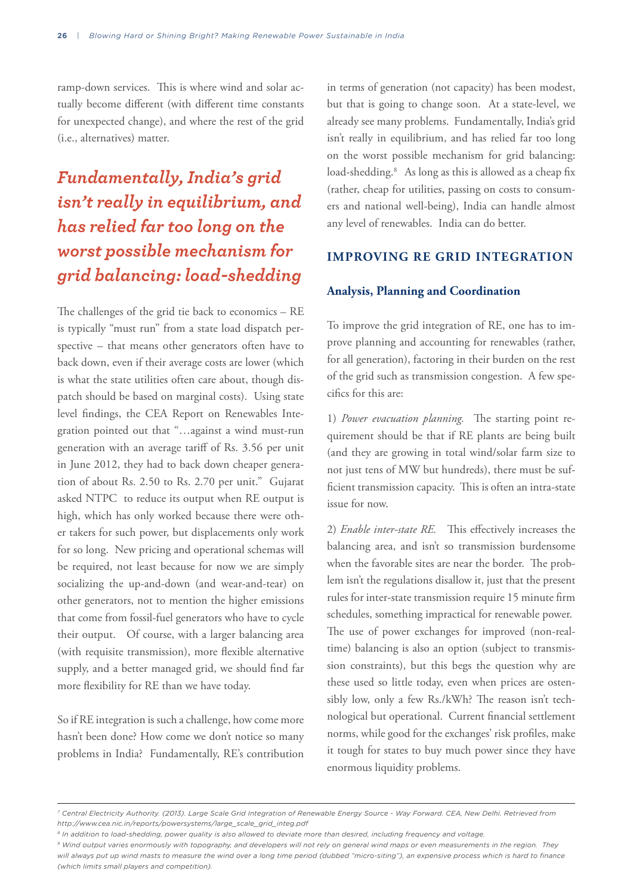ramp-down services. This is where wind and solar actually become different (with different time constants for unexpected change), and where the rest of the grid (i.e., alternatives) matter.

# *Fundamentally, India's grid isn't really in equilibrium, and has relied far too long on the worst possible mechanism for grid balancing: load-shedding*

The challenges of the grid tie back to economics – RE is typically "must run" from a state load dispatch perspective – that means other generators often have to back down, even if their average costs are lower (which is what the state utilities often care about, though dispatch should be based on marginal costs). Using state level findings, the CEA Report on Renewables Integration pointed out that "…against a wind must-run generation with an average tariff of Rs. 3.56 per unit in June 2012, they had to back down cheaper generation of about Rs. 2.50 to Rs. 2.70 per unit." Gujarat asked NTPC to reduce its output when RE output is high, which has only worked because there were other takers for such power, but displacements only work for so long. New pricing and operational schemas will be required, not least because for now we are simply socializing the up-and-down (and wear-and-tear) on other generators, not to mention the higher emissions that come from fossil-fuel generators who have to cycle their output. Of course, with a larger balancing area (with requisite transmission), more flexible alternative supply, and a better managed grid, we should find far more flexibility for RE than we have today.

So if RE integration is such a challenge, how come more hasn't been done? How come we don't notice so many problems in India? Fundamentally, RE's contribution

in terms of generation (not capacity) has been modest, but that is going to change soon. At a state-level, we already see many problems. Fundamentally, India's grid isn't really in equilibrium, and has relied far too long on the worst possible mechanism for grid balancing: load-shedding.<sup>8</sup> As long as this is allowed as a cheap fix (rather, cheap for utilities, passing on costs to consumers and national well-being), India can handle almost any level of renewables. India can do better.

### **IMPROVING RE GRID INTEGRATION**

#### **Analysis, Planning and Coordination**

To improve the grid integration of RE, one has to improve planning and accounting for renewables (rather, for all generation), factoring in their burden on the rest of the grid such as transmission congestion. A few specifics for this are:

1) *Power evacuation planning.* The starting point requirement should be that if RE plants are being built (and they are growing in total wind/solar farm size to not just tens of MW but hundreds), there must be sufficient transmission capacity. This is often an intra-state issue for now.

2) *Enable inter-state RE.* This effectively increases the balancing area, and isn't so transmission burdensome when the favorable sites are near the border. The problem isn't the regulations disallow it, just that the present rules for inter-state transmission require 15 minute firm schedules, something impractical for renewable power. The use of power exchanges for improved (non-realtime) balancing is also an option (subject to transmission constraints), but this begs the question why are these used so little today, even when prices are ostensibly low, only a few Rs./kWh? The reason isn't technological but operational. Current financial settlement norms, while good for the exchanges' risk profiles, make it tough for states to buy much power since they have enormous liquidity problems.

*<sup>7</sup> Central Electricity Authority. (2013). Large Scale Grid Integration of Renewable Energy Source - Way Forward. CEA, New Delhi. Retrieved from http://www.cea.nic.in/reports/powersystems/large\_scale\_grid\_integ.pdf*

*<sup>8</sup> In addition to load-shedding, power quality is also allowed to deviate more than desired, including frequency and voltage.*

*<sup>9</sup> Wind output varies enormously with topography, and developers will not rely on general wind maps or even measurements in the region. They*  will always put up wind masts to measure the wind over a long time period (dubbed "micro-siting"), an expensive process which is hard to finance *(which limits small players and competition).*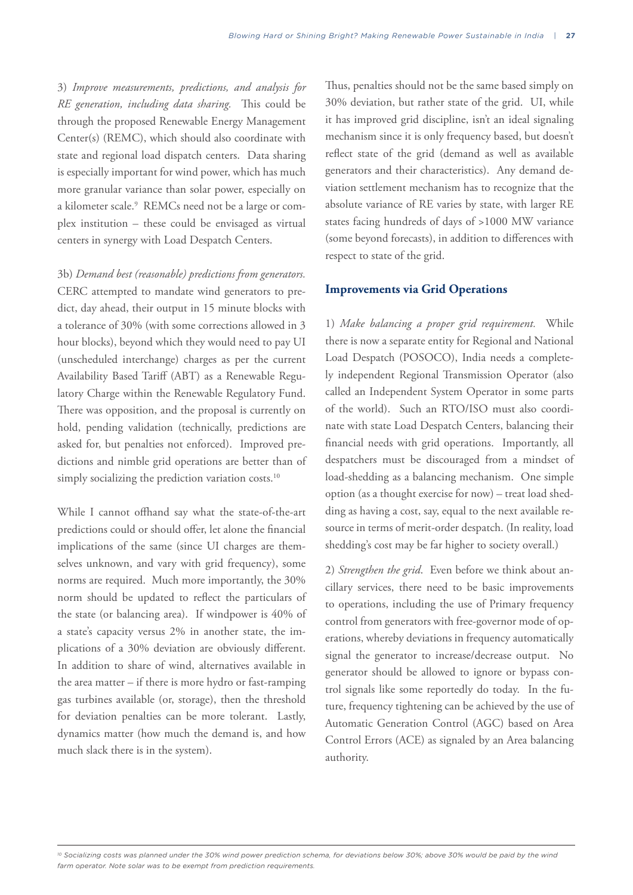3) *Improve measurements, predictions, and analysis for RE generation, including data sharing.* This could be through the proposed Renewable Energy Management Center(s) (REMC), which should also coordinate with state and regional load dispatch centers. Data sharing is especially important for wind power, which has much more granular variance than solar power, especially on a kilometer scale.<sup>9</sup> REMCs need not be a large or complex institution – these could be envisaged as virtual centers in synergy with Load Despatch Centers.

3b) *Demand best (reasonable) predictions from generators.* CERC attempted to mandate wind generators to predict, day ahead, their output in 15 minute blocks with a tolerance of 30% (with some corrections allowed in 3 hour blocks), beyond which they would need to pay UI (unscheduled interchange) charges as per the current Availability Based Tariff (ABT) as a Renewable Regulatory Charge within the Renewable Regulatory Fund. There was opposition, and the proposal is currently on hold, pending validation (technically, predictions are asked for, but penalties not enforced). Improved predictions and nimble grid operations are better than of simply socializing the prediction variation costs.<sup>10</sup>

While I cannot offhand say what the state-of-the-art predictions could or should offer, let alone the financial implications of the same (since UI charges are themselves unknown, and vary with grid frequency), some norms are required. Much more importantly, the 30% norm should be updated to reflect the particulars of the state (or balancing area). If windpower is 40% of a state's capacity versus 2% in another state, the implications of a 30% deviation are obviously different. In addition to share of wind, alternatives available in the area matter – if there is more hydro or fast-ramping gas turbines available (or, storage), then the threshold for deviation penalties can be more tolerant. Lastly, dynamics matter (how much the demand is, and how much slack there is in the system).

Thus, penalties should not be the same based simply on 30% deviation, but rather state of the grid. UI, while it has improved grid discipline, isn't an ideal signaling mechanism since it is only frequency based, but doesn't reflect state of the grid (demand as well as available generators and their characteristics). Any demand deviation settlement mechanism has to recognize that the absolute variance of RE varies by state, with larger RE states facing hundreds of days of >1000 MW variance (some beyond forecasts), in addition to differences with respect to state of the grid.

#### **Improvements via Grid Operations**

1) *Make balancing a proper grid requirement.* While there is now a separate entity for Regional and National Load Despatch (POSOCO), India needs a completely independent Regional Transmission Operator (also called an Independent System Operator in some parts of the world). Such an RTO/ISO must also coordinate with state Load Despatch Centers, balancing their financial needs with grid operations. Importantly, all despatchers must be discouraged from a mindset of load-shedding as a balancing mechanism. One simple option (as a thought exercise for now) – treat load shedding as having a cost, say, equal to the next available resource in terms of merit-order despatch. (In reality, load shedding's cost may be far higher to society overall.)

2) *Strengthen the grid*. Even before we think about ancillary services, there need to be basic improvements to operations, including the use of Primary frequency control from generators with free-governor mode of operations, whereby deviations in frequency automatically signal the generator to increase/decrease output. No generator should be allowed to ignore or bypass control signals like some reportedly do today. In the future, frequency tightening can be achieved by the use of Automatic Generation Control (AGC) based on Area Control Errors (ACE) as signaled by an Area balancing authority.

*10 Socializing costs was planned under the 30% wind power prediction schema, for deviations below 30%; above 30% would be paid by the wind farm operator. Note solar was to be exempt from prediction requirements.*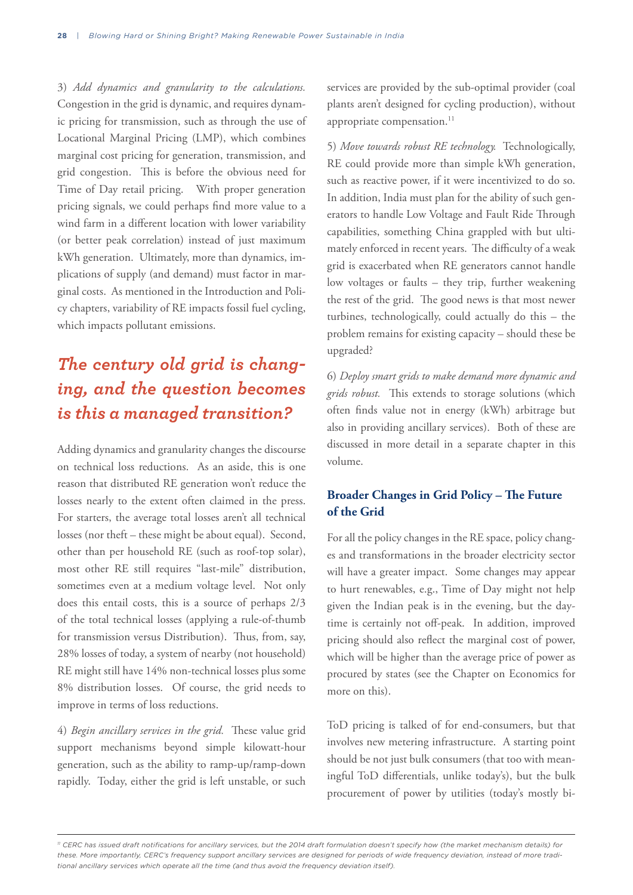3) *Add dynamics and granularity to the calculations.*  Congestion in the grid is dynamic, and requires dynamic pricing for transmission, such as through the use of Locational Marginal Pricing (LMP), which combines marginal cost pricing for generation, transmission, and grid congestion. This is before the obvious need for Time of Day retail pricing. With proper generation pricing signals, we could perhaps find more value to a wind farm in a different location with lower variability (or better peak correlation) instead of just maximum kWh generation. Ultimately, more than dynamics, implications of supply (and demand) must factor in marginal costs. As mentioned in the Introduction and Policy chapters, variability of RE impacts fossil fuel cycling, which impacts pollutant emissions.

## *The century old grid is changing, and the question becomes is this a managed transition?*

Adding dynamics and granularity changes the discourse on technical loss reductions. As an aside, this is one reason that distributed RE generation won't reduce the losses nearly to the extent often claimed in the press. For starters, the average total losses aren't all technical losses (nor theft – these might be about equal). Second, other than per household RE (such as roof-top solar), most other RE still requires "last-mile" distribution, sometimes even at a medium voltage level. Not only does this entail costs, this is a source of perhaps 2/3 of the total technical losses (applying a rule-of-thumb for transmission versus Distribution). Thus, from, say, 28% losses of today, a system of nearby (not household) RE might still have 14% non-technical losses plus some 8% distribution losses. Of course, the grid needs to improve in terms of loss reductions.

4) *Begin ancillary services in the grid.* These value grid support mechanisms beyond simple kilowatt-hour generation, such as the ability to ramp-up/ramp-down rapidly. Today, either the grid is left unstable, or such services are provided by the sub-optimal provider (coal plants aren't designed for cycling production), without appropriate compensation.<sup>11</sup>

5) *Move towards robust RE technology.* Technologically, RE could provide more than simple kWh generation, such as reactive power, if it were incentivized to do so. In addition, India must plan for the ability of such generators to handle Low Voltage and Fault Ride Through capabilities, something China grappled with but ultimately enforced in recent years. The difficulty of a weak grid is exacerbated when RE generators cannot handle low voltages or faults – they trip, further weakening the rest of the grid. The good news is that most newer turbines, technologically, could actually do this – the problem remains for existing capacity – should these be upgraded?

6) *Deploy smart grids to make demand more dynamic and grids robust.* This extends to storage solutions (which often finds value not in energy (kWh) arbitrage but also in providing ancillary services). Both of these are discussed in more detail in a separate chapter in this volume.

## **Broader Changes in Grid Policy – The Future of the Grid**

For all the policy changes in the RE space, policy changes and transformations in the broader electricity sector will have a greater impact. Some changes may appear to hurt renewables, e.g., Time of Day might not help given the Indian peak is in the evening, but the daytime is certainly not off-peak. In addition, improved pricing should also reflect the marginal cost of power, which will be higher than the average price of power as procured by states (see the Chapter on Economics for more on this).

ToD pricing is talked of for end-consumers, but that involves new metering infrastructure. A starting point should be not just bulk consumers (that too with meaningful ToD differentials, unlike today's), but the bulk procurement of power by utilities (today's mostly bi-

*<sup>11</sup> CERC has issued draft notifications for ancillary services, but the 2014 draft formulation doesn't specify how (the market mechanism details) for these. More importantly, CERC's frequency support ancillary services are designed for periods of wide frequency deviation, instead of more traditional ancillary services which operate all the time (and thus avoid the frequency deviation itself).*